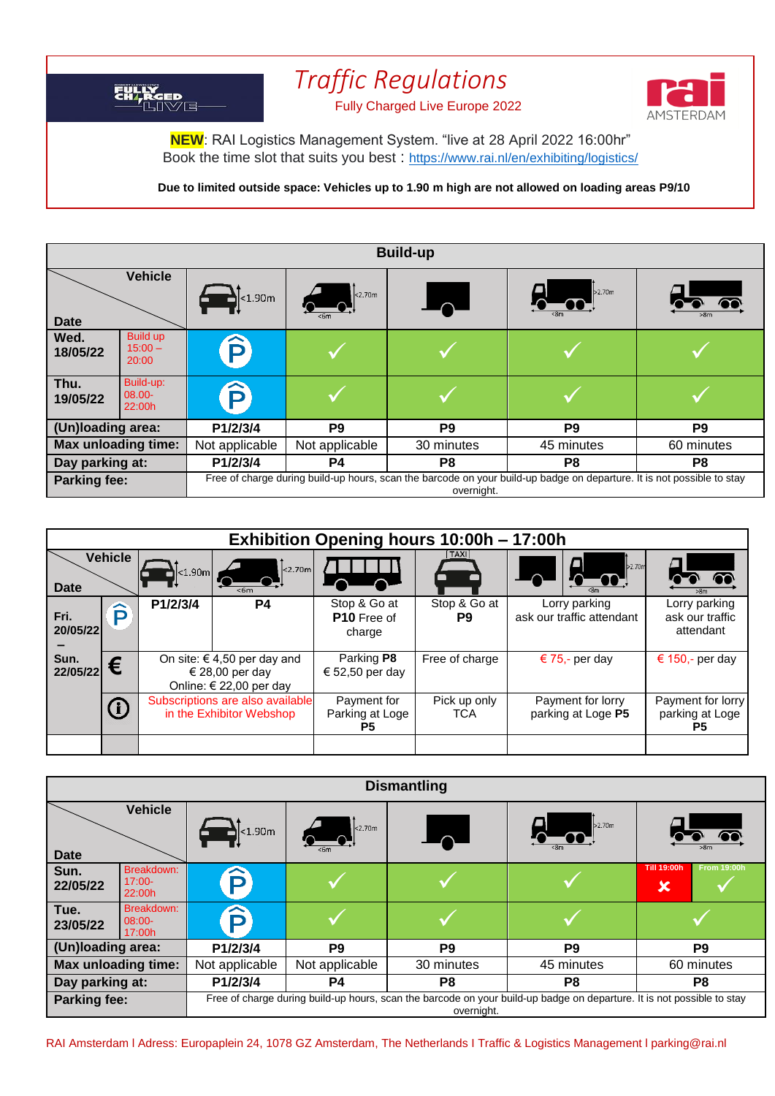## *Traffic Regulations* EH RGED 11 UJJIL IL YUNUS CHARGED



**NEW**: RAI Logistics Management System. "live at 28 April 2022 16:00hr" Book the time slot that suits you best : <https://www.rai.nl/en/exhibiting/logistics/>

**Due to limited outside space: Vehicles up to 1.90 m high are not allowed on loading areas P9/10**

| <b>Build-up</b>     |                                       |                                                                                                                                      |                |                          |                |                |
|---------------------|---------------------------------------|--------------------------------------------------------------------------------------------------------------------------------------|----------------|--------------------------|----------------|----------------|
| <b>Date</b>         | <b>Vehicle</b>                        | $1 < 1.90 \, \text{m}$                                                                                                               | $\vert$ <2.70m | $\overline{\phantom{a}}$ | 52.70m         | >8m            |
| Wed.<br>18/05/22    | <b>Build up</b><br>$15:00 -$<br>20:00 | P                                                                                                                                    |                |                          |                |                |
| Thu.<br>19/05/22    | Build-up:<br>08.00-<br>22:00h         | $\bf \widehat{P}$                                                                                                                    |                |                          |                |                |
| (Un)loading area:   |                                       | P1/2/3/4                                                                                                                             | P <sub>9</sub> | P <sub>9</sub>           | P <sub>9</sub> | P <sub>9</sub> |
| Max unloading time: |                                       | Not applicable                                                                                                                       | Not applicable | 30 minutes               | 45 minutes     | 60 minutes     |
| Day parking at:     |                                       | P1/2/3/4                                                                                                                             | P4             | P8                       | P <sub>8</sub> | P8             |
| Parking fee:        |                                       | Free of charge during build-up hours, scan the barcode on your build-up badge on departure. It is not possible to stay<br>overnight. |                |                          |                |                |

| Exhibition Opening hours 10:00h - 17:00h |                |                                                                               |                  |                                              |                            |                                            |                                               |
|------------------------------------------|----------------|-------------------------------------------------------------------------------|------------------|----------------------------------------------|----------------------------|--------------------------------------------|-----------------------------------------------|
| <b>Date</b>                              | <b>Vehicle</b> | $ $ <1.90m $ $ $ $                                                            | 2.70m <br>$<$ 6m |                                              | TAXI                       | $\frac{1}{2}$ .70m<br>$\mathbf{\Omega}$    | >8m                                           |
| Fri.<br>20/05/22                         | ∼<br>D         | P1/2/3/4                                                                      | <b>P4</b>        | Stop & Go at<br><b>P10</b> Free of<br>charge | Stop & Go at<br>P9         | Lorry parking<br>ask our traffic attendant | Lorry parking<br>ask our traffic<br>attendant |
| Sun.<br>22/05/22                         | €              | On site: $\in$ 4,50 per day and<br>€ 28,00 per day<br>Online: € 22,00 per day |                  | Parking P8<br>€ 52,50 per day                | Free of charge             | € 75,- per day                             | € 150,- per day                               |
|                                          |                | Subscriptions are also available<br>in the Exhibitor Webshop                  |                  | Payment for<br>Parking at Loge<br>P5.        | Pick up only<br><b>TCA</b> | Payment for lorry<br>parking at Loge P5    | Payment for lorry<br>parking at Loge<br>P5.   |
|                                          |                |                                                                               |                  |                                              |                            |                                            |                                               |

| <b>Dismantling</b>  |                                  |                                                                                                                                      |                |                |                |                                                            |
|---------------------|----------------------------------|--------------------------------------------------------------------------------------------------------------------------------------|----------------|----------------|----------------|------------------------------------------------------------|
| <b>Date</b>         | <b>Vehicle</b>                   | $\mathbf{B}$ < 1.90m                                                                                                                 | $ $ < 2.70m    |                | 52.70m         |                                                            |
| Sun.<br>22/05/22    | Breakdown:<br>$17:00-$<br>22:00h | D                                                                                                                                    |                |                |                | <b>Till 19:00h</b><br><b>From 19:00h</b><br>$\pmb{\times}$ |
| Tue.<br>23/05/22    | Breakdown:<br>$08:00-$<br>17:00h | ô                                                                                                                                    |                |                |                |                                                            |
| (Un)loading area:   |                                  | P1/2/3/4                                                                                                                             | P <sub>9</sub> | P <sub>9</sub> | P <sub>9</sub> | P <sub>9</sub>                                             |
| Max unloading time: |                                  | Not applicable                                                                                                                       | Not applicable | 30 minutes     | 45 minutes     | 60 minutes                                                 |
| Day parking at:     |                                  | P1/2/3/4                                                                                                                             | P4             | P <sub>8</sub> | P <sub>8</sub> | P8                                                         |
| <b>Parking fee:</b> |                                  | Free of charge during build-up hours, scan the barcode on your build-up badge on departure. It is not possible to stay<br>overnight. |                |                |                |                                                            |